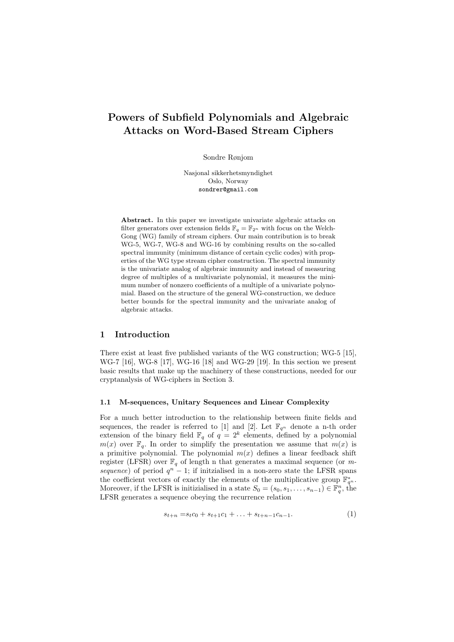# Powers of Subfield Polynomials and Algebraic Attacks on Word-Based Stream Ciphers

Sondre Rønjom

Nasjonal sikkerhetsmyndighet Oslo, Norway sondrer@gmail.com

Abstract. In this paper we investigate univariate algebraic attacks on filter generators over extension fields  $\mathbb{F}_q = \mathbb{F}_{2^n}$  with focus on the Welch-Gong (WG) family of stream ciphers. Our main contribution is to break WG-5, WG-7, WG-8 and WG-16 by combining results on the so-called spectral immunity (minimum distance of certain cyclic codes) with properties of the WG type stream cipher construction. The spectral immunity is the univariate analog of algebraic immunity and instead of measuring degree of multiples of a multivariate polynomial, it measures the minimum number of nonzero coefficients of a multiple of a univariate polynomial. Based on the structure of the general WG-construction, we deduce better bounds for the spectral immunity and the univariate analog of algebraic attacks.

# 1 Introduction

There exist at least five published variants of the WG construction; WG-5 [15], WG-7 [16], WG-8 [17], WG-16 [18] and WG-29 [19]. In this section we present basic results that make up the machinery of these constructions, needed for our cryptanalysis of WG-ciphers in Section 3.

### 1.1 M-sequences, Unitary Sequences and Linear Complexity

For a much better introduction to the relationship between finite fields and sequences, the reader is referred to [1] and [2]. Let  $\mathbb{F}_{q^n}$  denote a n-th order extension of the binary field  $\mathbb{F}_q$  of  $q = 2^k$  elements, defined by a polynomial  $m(x)$  over  $\mathbb{F}_q$ . In order to simplify the presentation we assume that  $m(x)$  is a primitive polynomial. The polynomial  $m(x)$  defines a linear feedback shift register (LFSR) over  $\mathbb{F}_q$  of length n that generates a maximal sequence (or m*sequence*) of period  $q^n - 1$ ; if initzialised in a non-zero state the LFSR spans the coefficient vectors of exactly the elements of the multiplicative group  $\mathbb{F}_{q^n}^*$ . Moreover, if the LFSR is initizialised in a state  $S_0 = (s_0, s_1, \ldots, s_{n-1}) \in \mathbb{F}_q^n$ , the LFSR generates a sequence obeying the recurrence relation

$$
s_{t+n} = s_t c_0 + s_{t+1} c_1 + \ldots + s_{t+n-1} c_{n-1}.
$$
 (1)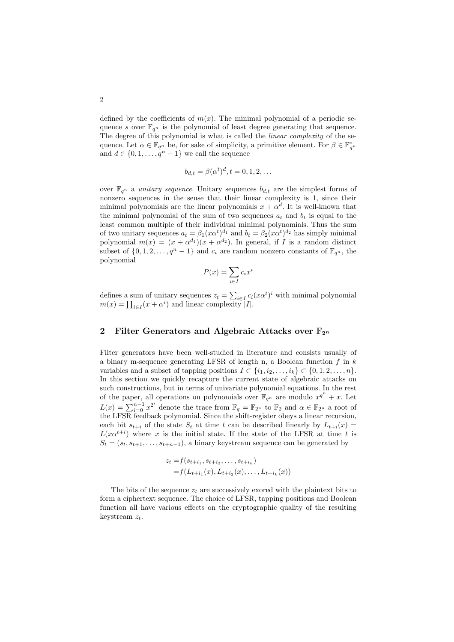defined by the coefficients of  $m(x)$ . The minimal polynomial of a periodic sequence *s* over  $\mathbb{F}_{q^n}$  is the polynomial of least degree generating that sequence. The degree of this polynomial is what is called the *linear complexity* of the sequence. Let  $\alpha \in \mathbb{F}_{q^n}$  be, for sake of simplicity, a primitive element. For  $\beta \in \mathbb{F}_{q^n}^*$ and  $d \in \{0, 1, \ldots, q^n - 1\}$  we call the sequence

$$
b_{d,t} = \beta(\alpha^t)^d, t = 0, 1, 2, \dots
$$

over  $\mathbb{F}_{q^n}$  a *unitary sequence*. Unitary sequences  $b_{d,t}$  are the simplest forms of nonzero sequences in the sense that their linear complexity is 1, since their minimal polynomials are the linear polynomials  $x + \alpha^d$ . It is well-known that the minimal polynomial of the sum of two sequences  $a_t$  and  $b_t$  is equal to the least common multiple of their individual minimal polynomials. Thus the sum of two unitary sequences  $a_t = \beta_1(x\alpha^t)^{d_1}$  and  $b_t = \beta_2(x\alpha^t)^{d_2}$  has simply minimal polynomial  $m(x)=(x+\alpha^{d_1})(x+\alpha^{d_2})$ . In general, if *I* is a random distinct subset of  $\{0, 1, 2, \ldots, q^n - 1\}$  and  $c_i$  are random nonzero constants of  $\mathbb{F}_{q^n}$ , the polynomial

$$
P(x) = \sum_{i \in I} c_i x^i
$$

defines a sum of unitary sequences  $z_t = \sum_{i \in I} c_i (x \alpha^t)^i$  with minimal polynomial  $m(x) = \prod_{i \in I} (x + \alpha^i)$  and linear complexity  $|I|$ .

# 2 Filter Generators and Algebraic Attacks over  $\mathbb{F}_{2^n}$

Filter generators have been well-studied in literature and consists usually of a binary m-sequence generating LFSR of length n, a Boolean function *f* in *k* variables and a subset of tapping positions  $I \subset \{i_1, i_2, \ldots, i_k\} \subset \{0, 1, 2, \ldots, n\}$ . In this section we quickly recapture the current state of algebraic attacks on such constructions, but in terms of univariate polynomial equations. In the rest of the paper, all operations on polynomials over  $\mathbb{F}_{q^n}$  are modulo  $x^{q^n} + x$ . Let  $L(x) = \sum_{i=0}^{n-1} x^{2^i}$  denote the trace from  $\mathbb{F}_q = \mathbb{F}_{2^n}$  to  $\mathbb{F}_2$  and  $\alpha \in \mathbb{F}_{2^n}$  a root of the LFSR feedback polynomial. Since the shift-register obeys a linear recursion, each bit  $s_{t+i}$  of the state  $S_t$  at time *t* can be described linearly by  $L_{t+i}(x) =$  $L(x\alpha^{t+i})$  where *x* is the initial state. If the state of the LFSR at time *t* is  $S_t = (s_t, s_{t+1}, \ldots, s_{t+n-1})$ , a binary keystream sequence can be generated by

$$
z_t = f(s_{t+i_1}, s_{t+i_2}, \dots, s_{t+i_k})
$$
  
=  $f(L_{t+i_1}(x), L_{t+i_2}(x), \dots, L_{t+i_k}(x))$ 

The bits of the sequence *z<sup>t</sup>* are successively exored with the plaintext bits to form a ciphertext sequence. The choice of LFSR, tapping positions and Boolean function all have various effects on the cryptographic quality of the resulting keystream *zt*.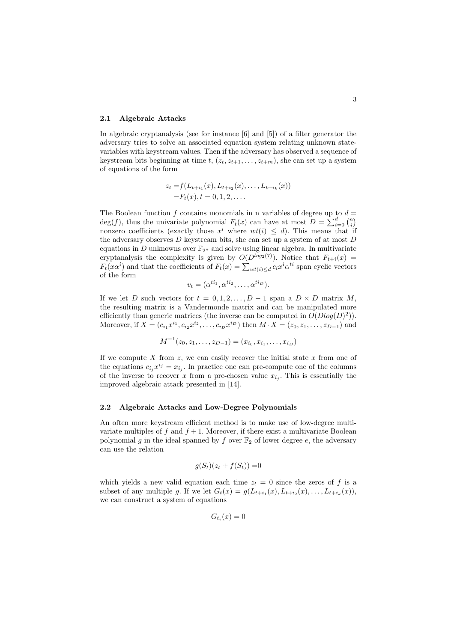#### 2.1 Algebraic Attacks

In algebraic cryptanalysis (see for instance [6] and [5]) of a filter generator the adversary tries to solve an associated equation system relating unknown statevariables with keystream values. Then if the adversary has observed a sequence of keystream bits beginning at time  $t$ ,  $(z_t, z_{t+1}, \ldots, z_{t+m})$ , she can set up a system of equations of the form

$$
z_t = f(L_{t+i_1}(x), L_{t+i_2}(x), \dots, L_{t+i_k}(x))
$$
  
=  $F_t(x), t = 0, 1, 2, \dots$ 

The Boolean function  $f$  contains monomials in n variables of degree up to  $d =$ deg(*f*), thus the univariate polynomial  $F_t(x)$  can have at most  $D = \sum_{i=0}^{d} {n \choose i}$ nonzero coefficients (exactly those  $x^i$  where  $wt(i) \leq d$ ). This means that if the adversary observes *D* keystream bits, she can set up a system of at most *D* equations in  $D$  unknowns over  $\mathbb{F}_{2^n}$  and solve using linear algebra. In multivariate cryptanalysis the complexity is given by  $O(D^{\log_2(7)})$ . Notice that  $F_{t+i}(x)$  =  $F_t(xa^i)$  and that the coefficients of  $F_t(x) = \sum_{wt(i) \le d} c_i x^i a^{ti}$  span cyclic vectors of the form

$$
v_t = (\alpha^{ti_1}, \alpha^{ti_2}, \dots, \alpha^{ti_D}).
$$

If we let *D* such vectors for  $t = 0, 1, 2, \ldots, D - 1$  span a  $D \times D$  matrix *M*, the resulting matrix is a Vandermonde matrix and can be manipulated more efficiently than generic matrices (the inverse can be computed in  $O(Dlog(D)^2)$ ). Moreover, if  $X = (c_{i_1}x^{i_1}, c_{i_2}x^{i_2}, \ldots, c_{i_D}x^{i_D})$  then  $M \cdot X = (z_0, z_1, \ldots, z_{D-1})$  and

$$
M^{-1}(z_0, z_1, \dots, z_{D-1}) = (x_{i_0}, x_{i_1}, \dots, x_{i_D})
$$

If we compute *X* from *z*, we can easily recover the initial state *x* from one of the equations  $c_{i_j} x^{i_j} = x_{i_j}$ . In practice one can pre-compute one of the columns of the inverse to recover x from a pre-chosen value  $x_{i_j}$ . This is essentially the improved algebraic attack presented in [14].

#### 2.2 Algebraic Attacks and Low-Degree Polynomials

An often more keystream efficient method is to make use of low-degree multivariate multiples of  $f$  and  $f + 1$ . Moreover, if there exist a multivariate Boolean polynomial *g* in the ideal spanned by *f* over  $\mathbb{F}_2$  of lower degree *e*, the adversary can use the relation

$$
g(S_t)(z_t + f(S_t)) = 0
$$

which yields a new valid equation each time  $z_t = 0$  since the zeros of f is a subset of any multiple *g*. If we let  $G_t(x) = g(L_{t+i_1}(x), L_{t+i_2}(x), \ldots, L_{t+i_k}(x))$ , we can construct a system of equations

$$
G_{t_i}(x) = 0
$$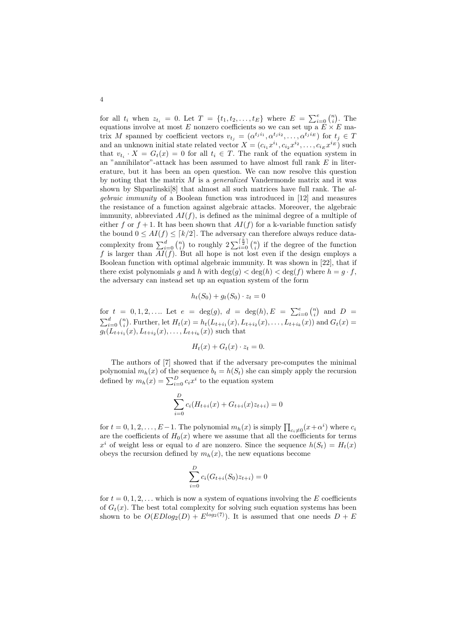for all  $t_i$  when  $z_{t_i} = 0$ . Let  $T = \{t_1, t_2, \ldots, t_E\}$  where  $E = \sum_{i=0}^{e} {n \choose i}$ . The equations involve at most  $E$  nonzero coefficients so we can set up a  $E \times E$  matrix *M* spanned by coefficient vectors  $v_{t_j} = (\alpha^{t_j i_1}, \alpha^{t_j i_2}, \dots, \alpha^{t_j i_E})$  for  $t_j \in T$ and an unknown initial state related vector  $X = (c_{i_1}x^{i_1}, c_{i_2}x^{i_2}, \ldots, c_{i_E}x^{i_E})$  such that  $v_{t_i} \cdot X = G_t(x) = 0$  for all  $t_i \in T$ . The rank of the equation system in an "annihilator"-attack has been assumed to have almost full rank *E* in litererature, but it has been an open question. We can now resolve this question by noting that the matrix *M* is a *generalized* Vandermonde matrix and it was shown by Shparlinski[8] that almost all such matrices have full rank. The *algebraic immunity* of a Boolean function was introduced in [12] and measures the resistance of a function against algebraic attacks. Moreover, the algebraic immunity, abbreviated  $AI(f)$ , is defined as the minimal degree of a multiple of either f or  $f + 1$ . It has been shown that  $AI(f)$  for a k-variable function satisfy the bound  $0 \leq AI(f) \leq \lceil k/2 \rceil$ . The adversary can therefore always reduce datacomplexity from  $\sum_{i=0}^{d} {n \choose i}$  to roughly  $2\sum_{i=0}^{\lceil \frac{k}{2} \rceil} {n \choose i}$  if the degree of the function *f* is larger than *AI*(*f*). But all hope is not lost even if the design employs a Boolean function with optimal algebraic immunity. It was shown in [22], that if there exist polynomials *g* and *h* with  $\deg(g) < \deg(h) < \deg(f)$  where  $h = g \cdot f$ , the adversary can instead set up an equation system of the form

$$
h_t(S_0) + g_t(S_0) \cdot z_t = 0
$$

for  $t = 0, 1, 2, \ldots$  Let  $e = \deg(g), d = \deg(h), E = \sum_{i=0}^{e} {n \choose i}$  and  $D =$  $\sum_{i=0}^{d} {n \choose i}$ . Further, let  $H_t(x) = h_t(L_{t+i_1}(x), L_{t+i_2}(x), \ldots, L_{t+i_k}(x))$  and  $G_t(x) =$  $g_t(L_{t+i_1}(x), L_{t+i_2}(x), \ldots, L_{t+i_k}(x))$  such that

$$
H_t(x) + G_t(x) \cdot z_t = 0.
$$

The authors of [7] showed that if the adversary pre-computes the minimal polynomial  $m_h(x)$  of the sequence  $b_t = h(S_t)$  she can simply apply the recursion defined by  $m_h(x) = \sum_{i=0}^{D} c_i x^i$  to the equation system

$$
\sum_{i=0}^{D} c_i (H_{t+i}(x) + G_{t+i}(x)z_{t+i}) = 0
$$

for  $t = 0, 1, 2, \ldots, E-1$ . The polynomial  $m_h(x)$  is simply  $\prod_{c_i \neq 0} (x + \alpha^i)$  where  $c_i$ are the coefficients of  $H_0(x)$  where we assume that all the coefficients for terms  $x^{i}$  of weight less or equal to *d* are nonzero. Since the sequence  $h(S_{t}) = H_{t}(x)$ obeys the recursion defined by  $m_h(x)$ , the new equations become

$$
\sum_{i=0}^{D} c_i (G_{t+i}(S_0) z_{t+i}) = 0
$$

for  $t = 0, 1, 2, \ldots$  which is now a system of equations involving the E coefficients of  $G_t(x)$ . The best total complexity for solving such equation systems has been shown to be  $O(EDlog_2(D) + E^{log_2(7)})$ . It is assumed that one needs  $D + E$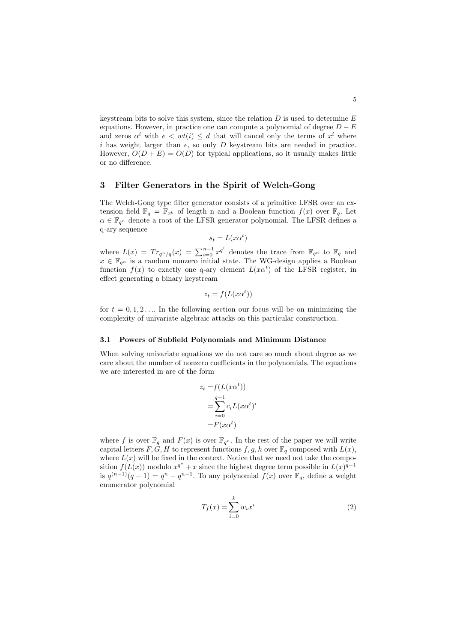keystream bits to solve this system, since the relation *D* is used to determine *E* equations. However, in practice one can compute a polynomial of degree  $D - E$ and zeros  $\alpha^i$  with  $e < wt(i) \leq d$  that will cancel only the terms of  $x^i$  where *i* has weight larger than *e*, so only *D* keystream bits are needed in practice. However,  $O(D + E) = O(D)$  for typical applications, so it usually makes little or no difference.

# 3 Filter Generators in the Spirit of Welch-Gong

The Welch-Gong type filter generator consists of a primitive LFSR over an extension field  $\mathbb{F}_q = \mathbb{F}_{2^k}$  of length n and a Boolean function  $f(x)$  over  $\mathbb{F}_q$ . Let  $\alpha \in \mathbb{F}_{q^n}$  denote a root of the LFSR generator polynomial. The LFSR defines a q-ary sequence

$$
s_t = L(x\alpha^t)
$$

where  $L(x) = Tr_{q^n/q}(x) = \sum_{i=0}^{n-1} x^{q^i}$  denotes the trace from  $\mathbb{F}_{q^n}$  to  $\mathbb{F}_q$  and  $x \in \mathbb{F}_{q^n}$  is a random nonzero initial state. The WG-design applies a Boolean function  $f(x)$  to exactly one q-ary element  $L(x\alpha^t)$  of the LFSR register, in effect generating a binary keystream

$$
z_t = f(L(x\alpha^t))
$$

for  $t = 0, 1, 2, \ldots$  In the following section our focus will be on minimizing the complexity of univariate algebraic attacks on this particular construction.

### 3.1 Powers of Subfield Polynomials and Minimum Distance

When solving univariate equations we do not care so much about degree as we care about the number of nonzero coefficients in the polynomials. The equations we are interested in are of the form

$$
z_t = f(L(x\alpha^t))
$$
  
= 
$$
\sum_{i=0}^{q-1} c_i L(x\alpha^t)^i
$$
  
= 
$$
F(x\alpha^t)
$$

where f is over  $\mathbb{F}_q$  and  $F(x)$  is over  $\mathbb{F}_{q^n}$ . In the rest of the paper we will write capital letters  $F, G, H$  to represent functions  $f, g, h$  over  $\mathbb{F}_q$  composed with  $L(x)$ , where  $L(x)$  will be fixed in the context. Notice that we need not take the composition  $f(L(x))$  modulo  $x^{q^n} + x$  since the highest degree term possible in  $L(x)^{q-1}$ is  $q^{(n-1)}(q-1) = q^n - q^{n-1}$ . To any polynomial  $f(x)$  over  $\mathbb{F}_q$ , define a weight enumerator polynomial

$$
T_f(x) = \sum_{i=0}^{k} w_i x^i
$$
\n<sup>(2)</sup>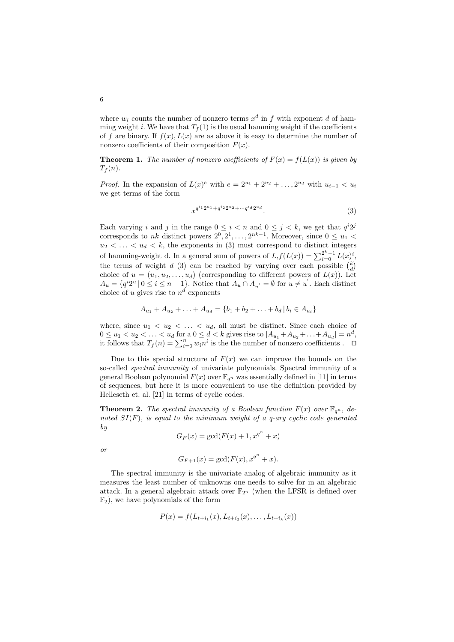where  $w_i$  counts the number of nonzero terms  $x^d$  in  $f$  with exponent  $d$  of hamming weight *i*. We have that  $T_f(1)$  is the usual hamming weight if the coefficients of f are binary. If  $f(x)$ ,  $L(x)$  are as above it is easy to determine the number of nonzero coefficients of their composition  $F(x)$ .

**Theorem 1.** The number of nonzero coefficients of  $F(x) = f(L(x))$  is given by  $T_f(n)$ .

*Proof.* In the expansion of  $L(x)^e$  with  $e = 2^{u_1} + 2^{u_2} + \ldots, 2^{u_d}$  with  $u_{i-1} < u_i$ we get terms of the form

$$
x^{q^{i_1}2^{u_1} + q^{i_2}2^{u_2} + \cdots + q^{i_d}2^{u_d}}.
$$
\n
$$
(3)
$$

Each varying *i* and *j* in the range  $0 \le i \le n$  and  $0 \le j \le k$ , we get that  $q^i 2^j$ corresponds to *nk* distinct powers  $2^0, 2^1, \ldots, 2^{nk-1}$ . Moreover, since  $0 \le u_1$  $u_2 < \ldots < u_d < k$ , the exponents in (3) must correspond to distinct integers of hamming-weight d. In a general sum of powers of  $L, f(L(x)) = \sum_{i=0}^{2^k-1} L(x)^i$ , the terms of weight *d* (3) can be reached by varying over each possible  $\binom{k}{d}$ choice of  $u = (u_1, u_2, \ldots, u_d)$  (corresponding to different powers of  $L(x)$ ). Let  $A_u = \{q^{i}2^u \mid 0 \leq i \leq n-1\}$ . Notice that  $A_u \cap A_{u'} = \emptyset$  for  $u \neq u'$ . Each distinct choice of *u* gives rise to  $n^d$  exponents

$$
A_{u_1} + A_{u_2} + \ldots + A_{u_d} = \{b_1 + b_2 + \ldots + b_d \, | \, b_i \in A_{u_i}\}
$$

where, since  $u_1 < u_2 < \ldots < u_d$ , all must be distinct. Since each choice of  $0 \le u_1 < u_2 < \ldots < u_d$  for a  $0 \le d < k$  gives rise to  $|A_{u_1} + A_{u_2} + \ldots + A_{u_d}| = n^d$ , it follows that  $T_f(n) = \sum_{i=0}^n w_i n^i$  is the the number of nonzero coefficients .  $\Box$ 

Due to this special structure of  $F(x)$  we can improve the bounds on the so-called *spectral immunity* of univariate polynomials. Spectral immunity of a general Boolean polynomial  $F(x)$  over  $\mathbb{F}_{q^n}$  was essentially defined in [11] in terms of sequences, but here it is more convenient to use the definition provided by Helleseth et. al. [21] in terms of cyclic codes.

**Theorem 2.** The spectral immunity of a Boolean function  $F(x)$  over  $\mathbb{F}_{q^n}$ , de*noted SI*(*F*)*, is equal to the minimum weight of a q-ary cyclic code generated by*

$$
G_F(x) = \gcd(F(x) + 1, x^{q^n} + x)
$$

*or*

$$
G_{F+1}(x) = \gcd(F(x), x^{q^n} + x).
$$

The spectral immunity is the univariate analog of algebraic immunity as it measures the least number of unknowns one needs to solve for in an algebraic attack. In a general algebraic attack over  $\mathbb{F}_{2^n}$  (when the LFSR is defined over  $\mathbb{F}_2$ , we have polynomials of the form

$$
P(x) = f(L_{t+i_1}(x), L_{t+i_2}(x), \dots, L_{t+i_k}(x))
$$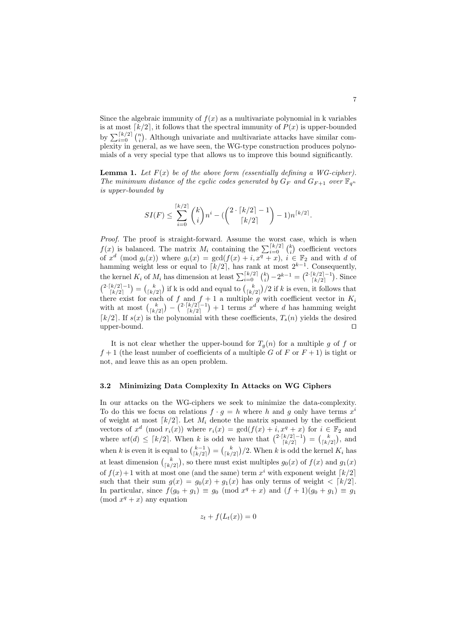Since the algebraic immunity of  $f(x)$  as a multivariate polynomial in k variables is at most  $\lceil k/2 \rceil$ , it follows that the spectral immunity of  $P(x)$  is upper-bounded by  $\sum_{i=0}^{\lceil k/2 \rceil} {n \choose i}$ . Although univariate and multivariate attacks have similar complexity in general, as we have seen, the WG-type construction produces polynomials of a very special type that allows us to improve this bound significantly.

**Lemma 1.** Let  $F(x)$  be of the above form (essentially defining a WG-cipher). *The minimum distance of the cyclic codes generated by*  $G_F$  *and*  $G_{F+1}$  *over*  $\mathbb{F}_{q^n}$ *is upper-bounded by*

$$
SI(F) \le \sum_{i=0}^{\lceil k/2 \rceil} \binom{k}{i} n^i - (\binom{2 \cdot \lceil k/2 \rceil - 1}{\lceil k/2 \rceil} - 1) n^{\lceil k/2 \rceil}.
$$

*Proof.* The proof is straight-forward. Assume the worst case, which is when  $f(x)$  is balanced. The matrix  $M_i$  containing the  $\sum_{i=0}^{\lceil k/2 \rceil} {k \choose i}$  coefficient vectors of  $x^d$  (mod  $g_i(x)$ ) where  $g_i(x) = \gcd(f(x) + i, x^q + x), i \in \mathbb{F}_2$  and with *d* of hamming weight less or equal to  $\lceil k/2 \rceil$ , has rank at most  $2^{k-1}$ . Consequently, the kernel  $K_i$  of  $M_i$  has dimension at least  $\sum_{i=0}^{\lceil k/2 \rceil} {k \choose i} - 2^{k-1} = {2 \cdot \lceil k/2 \rceil - 1 \choose \lceil k/2 \rceil}$ . Since  $\binom{2^r k/2-1}{k/2-1} = \binom{k}{k/2}$  if k is odd and equal to  $\binom{k}{k/2}$  if k is even, it follows that there exist for each of  $f$  and  $f + 1$  a multiple  $g$  with coefficient vector in  $K_i$ with at most  $\binom{k}{\lceil k/2 \rceil} - \binom{2 \cdot \lceil k/2 \rceil - 1}{\lceil k/2 \rceil} + 1$  terms  $x^d$  where *d* has hamming weight  $\lceil k/2 \rceil$ . If  $s(x)$  is the polynomial with these coefficients,  $T_s(n)$  yields the desired upper-bound. upper-bound.

It is not clear whether the upper-bound for  $T_q(n)$  for a multiple g of f or  $f+1$  (the least number of coefficients of a multiple *G* of *F* or  $F+1$ ) is tight or not, and leave this as an open problem.

### 3.2 Minimizing Data Complexity In Attacks on WG Ciphers

In our attacks on the WG-ciphers we seek to minimize the data-complexity. To do this we focus on relations  $f \cdot g = h$  where *h* and *g* only have terms  $x^i$ of weight at most  $\lceil k/2 \rceil$ . Let  $M_i$  denote the matrix spanned by the coefficient vectors of  $x^d$  (mod  $r_i(x)$ ) where  $r_i(x) = \gcd(f(x) + i, x^q + x)$  for  $i \in \mathbb{F}_2$  and where  $wt(d) \leq \lceil k/2 \rceil$ . When *k* is odd we have that  $\binom{2 \cdot \lceil k/2 \rceil - 1}{\lceil k/2 \rceil} = \binom{k}{\lceil k/2 \rceil}$ , and when *k* is even it is equal to  $\binom{k-1}{\lceil k/2 \rceil} = \binom{k}{\lceil k/2 \rceil} / 2$ . When *k* is odd the kernel *K<sub>i</sub>* has at least dimension  $\binom{k}{k/2}$ , so there must exist multiples  $g_0(x)$  of  $f(x)$  and  $g_1(x)$ of  $f(x) + 1$  with at most one (and the same) term  $x<sup>i</sup>$  with exponent weight  $\lceil k/2 \rceil$ such that their sum  $g(x) = g_0(x) + g_1(x)$  has only terms of weight  $\langle k/2|$ . In particular, since  $f(g_0 + g_1) \equiv g_0 \pmod{x^q + x}$  and  $(f + 1)(g_0 + g_1) \equiv g_1$  $(mod x<sup>q</sup> + x)$  any equation

$$
z_t + f(L_t(x)) = 0
$$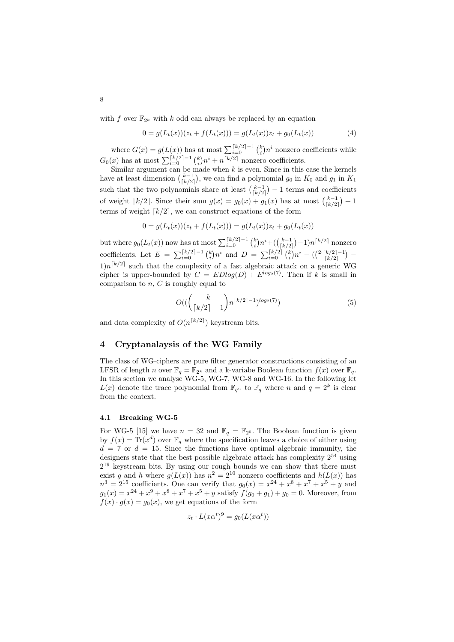with *f* over  $\mathbb{F}_{2^k}$  with *k* odd can always be replaced by an equation

$$
0 = g(L_t(x))(z_t + f(L_t(x))) = g(L_t(x))z_t + g_0(L_t(x))
$$
\n(4)

where  $G(x) = g(L(x))$  has at most  $\sum_{i=0}^{\lceil k/2 \rceil-1} {k \choose i} n^i$  nonzero coefficients while  $G_0(x)$  has at most  $\sum_{i=0}^{\lceil k/2 \rceil - 1} {k \choose i} n^i + n^{\lceil k/2 \rceil}$  nonzero coefficients.

Similar argument can be made when *k* is even. Since in this case the kernels have at least dimension  $\binom{k-1}{\lceil k/2 \rceil}$ , we can find a polynomial  $g_0$  in  $K_0$  and  $g_1$  in  $K_1$ such that the two polynomials share at least  $\binom{k-1}{k/2} - 1$  terms and coefficients of weight  $\lceil k/2 \rceil$ . Since their sum  $g(x) = g_0(x) + g_1(x)$  has at most  $\binom{k-1}{\lceil k/2 \rceil} + 1$ terms of weight  $\lceil k/2 \rceil$ , we can construct equations of the form

$$
0 = g(L_t(x))(z_t + f(L_t(x))) = g(L_t(x))z_t + g_0(L_t(x))
$$

but where  $g_0(L_t(x))$  now has at most  $\sum_{i=0}^{\lceil k/2 \rceil-1} {k \choose i} n^i + ({k-1 \choose \lceil k/2 \rceil}-1) n^{\lceil k/2 \rceil}$  nonzero coefficients. Let  $E = \sum_{i=0}^{\lceil k/2 \rceil - 1} {k \choose i} n^i$  and  $D = \sum_{i=0}^{\lceil k/2 \rceil} {k \choose i} n^i - \left( \binom{2 \cdot \lceil k/2 \rceil - 1}{\lceil k/2 \rceil} - \right)$  $1)n^{\lceil k/2 \rceil}$  such that the complexity of a fast algebraic attack on a generic WG cipher is upper-bounded by  $C = EDlog(D) + E^{log_2(7)}$ . Then if *k* is small in comparison to *n*, *C* is roughly equal to

$$
O((\binom{k}{\lceil k/2 \rceil - 1} n^{\lceil k/2 \rceil - 1})^{\log_2(7)}) \tag{5}
$$

and data complexity of  $O(n^{\lceil k/2 \rceil})$  keystream bits.

# 4 Cryptanalaysis of the WG Family

The class of WG-ciphers are pure filter generator constructions consisting of an LFSR of length *n* over  $\mathbb{F}_q = \mathbb{F}_{2^k}$  and a k-variabe Boolean function  $f(x)$  over  $\mathbb{F}_q$ . In this section we analyse WG-5, WG-7, WG-8 and WG-16. In the following let  $L(x)$  denote the trace polynomial from  $\mathbb{F}_{q^n}$  to  $\mathbb{F}_q$  where *n* and  $q = 2^k$  is clear from the context.

### 4.1 Breaking WG-5

For WG-5 [15] we have  $n = 32$  and  $\mathbb{F}_q = \mathbb{F}_{2^5}$ . The Boolean function is given by  $f(x) = \text{Tr}(x^d)$  over  $\mathbb{F}_q$  where the specification leaves a choice of either using  $d = 7$  or  $d = 15$ . Since the functions have optimal algebraic immunity, the designers state that the best possible algebraic attack has complexity  $2^{54}$  using  $2^{19}$  keystream bits. By using our rough bounds we can show that there must exist *g* and *h* where  $g(L(x))$  has  $n^2 = 2^{10}$  nonzero coefficients and  $h(L(x))$  has  $n^3 = 2^{15}$  coefficients. One can verify that  $g_0(x) = x^{24} + x^8 + x^7 + x^5 + y$  and  $g_1(x) = x^{24} + x^9 + x^8 + x^7 + x^5 + y$  satisfy  $f(g_0 + g_1) + g_0 = 0$ . Moreover, from  $f(x) \cdot g(x) = g_0(x)$ , we get equations of the form

$$
z_t \cdot L(x\alpha^t)^9 = g_0(L(x\alpha^t))
$$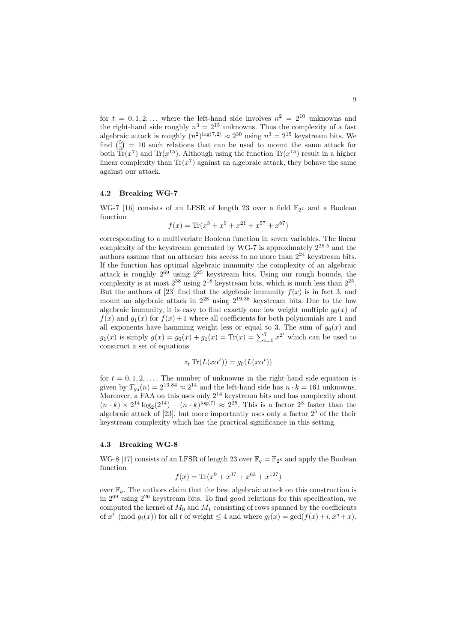for  $t = 0, 1, 2, \ldots$  where the left-hand side involves  $n^2 = 2^{10}$  unknowns and the right-hand side roughly  $n^3 = 2^{15}$  unknowns. Thus the complexity of a fast algebraic attack is roughly  $(n^2)^{\log(7,2)} \approx 2^{30}$  using  $n^3 = 2^{15}$  keystream bits. We find  $\binom{5}{3}$  = 10 such relations that can be used to mount the same attack for both  $\tilde{\text{Tr}}(x^7)$  and  $\text{Tr}(x^{15})$ . Although using the function  $\text{Tr}(x^{15})$  result in a higher linear complexity than  $Tr(x^7)$  against an algebraic attack, they behave the same against our attack.

### 4.2 Breaking WG-7

WG-7 [16] consists of an LFSR of length 23 over a field  $\mathbb{F}_{2^7}$  and a Boolean function

$$
f(x) = \text{Tr}(x^3 + x^9 + x^{21} + x^{57} + x^{87})
$$

corresponding to a multivariate Boolean function in seven variables. The linear complexity of the keystream generated by WG-7 is approximately 2<sup>25</sup>*.*<sup>5</sup> and the authors assume that an attacker has access to no more than  $2^{24}$  keystream bits. If the function has optimal algebraic immunity the complexity of an algebraic attack is roughly  $2^{69}$  using  $2^{25}$  keystream bits. Using our rough bounds, the complexity is at most  $2^{38}$  using  $2^{18}$  keystream bits, which is much less than  $2^{25}$ . But the authors of [23] find that the algebraic immunity  $f(x)$  is in fact 3, and mount an algebraic attack in 2<sup>28</sup> using 2<sup>19</sup>*.*<sup>38</sup> keystream bits. Due to the low algebraic immunity, it is easy to find exactly one low weight multiple  $g_0(x)$  of  $f(x)$  and  $g_1(x)$  for  $f(x)+1$  where all coefficients for both polynomials are 1 and all exponents have hamming weight less or equal to 3. The sum of  $g_0(x)$  and  $g_1(x)$  is simply  $g(x) = g_0(x) + g_1(x) = \text{Tr}(x) = \sum_{i=0}^{7} x^{2^i}$  which can be used to construct a set of equations

$$
z_t \operatorname{Tr}(L(x\alpha^t)) = g_0(L(x\alpha^t))
$$

for  $t = 0, 1, 2, \ldots$ . The number of unknowns in the right-hand side equation is given by  $T_{g_0}(n)=2^{13.84} \approx 2^{14}$  and the left-hand side has  $n \cdot k = 161$  unknowns. Moreover, a FAA on this uses only  $2^{14}$  keystream bits and has complexity about  $(n \cdot k) \times 2^{14} \log_2(2^{14}) + (n \cdot k)^{\log(7)} \approx 2^{25}$ . This is a factor  $2^3$  faster than the algebraic attack of [23], but more importantly uses only a factor  $2<sup>5</sup>$  of the their keystream complexity which has the practical significance in this setting.

### 4.3 Breaking WG-8

WG-8 [17] consists of an LFSR of length 23 over  $\mathbb{F}_q = \mathbb{F}_{2^8}$  and apply the Boolean function

$$
f(x) = \text{Tr}(x^9 + x^{37} + x^{63} + x^{127})
$$

over  $\mathbb{F}_q$ . The authors claim that the best algebraic attack on this construction is in  $2^{69}$  using  $2^{26}$  keystream bits. To find good relations for this specification, we computed the kernel of  $M_0$  and  $M_1$  consisting of rows spanned by the coefficients of  $x^t \pmod{g_i(x)}$  for all  $t$  of weight  $\leq 4$  and where  $g_i(x) = \gcd(f(x) + i, x^q + x)$ .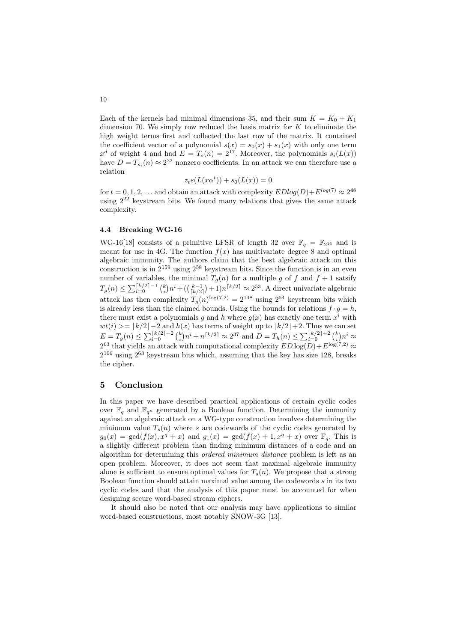Each of the kernels had minimal dimensions 35, and their sum  $K = K_0 + K_1$ dimension 70. We simply row reduced the basis matrix for *K* to eliminate the high weight terms first and collected the last row of the matrix. It contained the coefficient vector of a polynomial  $s(x) = s_0(x) + s_1(x)$  with only one term  $x^d$  of weight 4 and had  $E = T_s(n) = 2^{17}$ . Moreover, the polynomials  $s_i(L(x))$ have  $D = T_{s_i}(n) \approx 2^{22}$  nonzero coefficients. In an attack we can therefore use a relation

$$
z_ts(L(x\alpha^t))+s_0(L(x))=0
$$

for  $t = 0, 1, 2, \ldots$  and obtain an attack with complexity  $EDlog(D) + E^{log(7)} \approx 2^{48}$ using  $2^{22}$  keystream bits. We found many relations that gives the same attack complexity.

# 4.4 Breaking WG-16

WG-16[18] consists of a primitive LFSR of length 32 over  $\mathbb{F}_q = \mathbb{F}_{2^{16}}$  and is meant for use in 4G. The function  $f(x)$  has multivariate degree 8 and optimal algebraic immunity. The authors claim that the best algebraic attack on this construction is in  $2^{159}$  using  $2^{58}$  keystream bits. Since the function is in an even number of variables, the minimal  $T_g(n)$  for a multiple g of f and  $f + 1$  satsify  $T_g(n) \le \sum_{i=0}^{\lceil k/2 \rceil - 1} {k \choose i} n^i + ({k-1 \choose \lceil k/2 \rceil} + 1) n^{\lceil k/2 \rceil} \approx 2^{53}$ . A direct univariate algebraic attack has then complexity  $T_g(n)^{\log(7,2)} = 2^{148}$  using  $2^{54}$  keystream bits which is already less than the claimed bounds. Using the bounds for relations  $f \cdot g = h$ , there must exist a polynomials *g* and *h* where  $g(x)$  has exactly one term  $x^i$  with  $wt(i) \geq f(k/2)-2$  and  $h(x)$  has terms of weight up to  $\lceil k/2 \rceil+2$ . Thus we can set  $E = T_g(n) \le \sum_{i=0}^{\lceil k/2 \rceil - 2} {k \choose i} n^i + n^{\lceil k/2 \rceil} \approx 2^{37}$  and  $D = T_h(n) \le \sum_{i=0}^{\lceil k/2 \rceil + 2} {k \choose i} n^i \approx$  $2^{63}$  that yields an attack with computational complexity  $ED \log(D) + E^{\log(7,2)} \approx$  $2^{106}$  using  $2^{63}$  keystream bits which, assuming that the key has size 128, breaks the cipher.

## 5 Conclusion

In this paper we have described practical applications of certain cyclic codes over  $\mathbb{F}_q$  and  $\mathbb{F}_{q^n}$  generated by a Boolean function. Determining the immunity against an algebraic attack on a WG-type construction involves determining the minimum value  $T_s(n)$  where *s* are codewords of the cyclic codes generated by  $g_0(x) = \gcd(f(x), x^q + x)$  and  $g_1(x) = \gcd(f(x) + 1, x^q + x)$  over  $\mathbb{F}_q$ . This is a slightly different problem than finding minimum distances of a code and an algorithm for determining this *ordered minimum distance* problem is left as an open problem. Moreover, it does not seem that maximal algebraic immunity alone is sufficient to ensure optimal values for  $T_s(n)$ . We propose that a strong Boolean function should attain maximal value among the codewords *s* in its two cyclic codes and that the analysis of this paper must be accounted for when designing secure word-based stream ciphers.

It should also be noted that our analysis may have applications to similar word-based constructions, most notably SNOW-3G [13].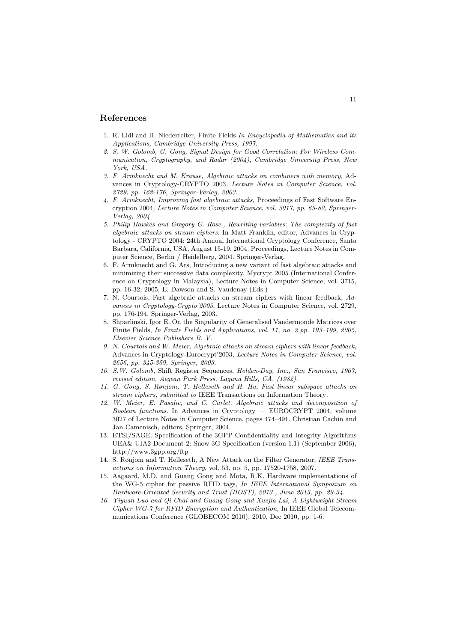# References

- 1. R. Lidl and H. Niederreiter, Finite Fields *In Encyclopedia of Mathematics and its Applications, Cambridge University Press, 1997.*
- *2. S. W. Golomb, G. Gong, Signal Design for Good Correlation: For Wireless Communication, Cryptography, and Radar (2004), Cambridge University Press, New York, USA.*
- *3. F. Armknecht and M. Krause, Algebraic attacks on combiners with memory,* Advances in Cryptology-CRYPTO 2003*, Lecture Notes in Computer Science, vol. 2729, pp. 162-176, Springer-Verlag, 2003.*
- *4. F. Armknecht, Improving fast algebraic attacks,* Proceedings of Fast Software Encryption 2004*, Lecture Notes in Computer Science, vol. 3017, pp. 65-82, Springer-Verlag, 2004.*
- *5. Philip Hawkes and Gregory G. Rose., Rewriting variables: The complexity of fast algebraic attacks on stream ciphers.* In Matt Franklin, editor, Advances in Cryptology - CRYPTO 2004: 24th Annual International Cryptology Conference, Santa Barbara, California, USA, August 15-19, 2004. Proceedings, Lecture Notes in Computer Science, Berlin / Heidelberg, 2004. Springer-Verlag.
- 6. F. Armknecht and G. Ars, Introducing a new variant of fast algebraic attacks and minimizing their successive data complexity, Mycrypt 2005 (International Conference on Cryptology in Malaysia), Lecture Notes in Computer Science, vol. 3715, pp. 16-32, 2005, E. Dawson and S. Vaudenay (Eds.)
- 7. N. Courtois, Fast algebraic attacks on stream ciphers with linear feedback, *Advances in Cryptology-Crypto'2003*, Lecture Notes in Computer Science, vol. 2729, pp. 176-194, Springer-Verlag, 2003.
- 8. Shparlinski, Igor E.,On the Singularity of Generalised Vandermonde Matrices over Finite Fields, *In Finite Fields and Applications, vol. 11, no. 2,pp. 193–199, 2005, Elsevier Science Publishers B. V.*
- *9. N. Courtois and W. Meier, Algebraic attacks on stream ciphers with linear feedback,* Advances in Cryptology-Eurocrypt'2003*, Lecture Notes in Computer Science, vol. 2656, pp. 345-359, Springer, 2003.*
- *10. S.W. Golomb,* Shift Register Sequences, *Holden-Day, Inc., San Francisco, 1967, revised edition, Aegean Park Press, Laguna Hills, CA, (1982).*
- *11. G. Gong, S. Rønjom, T. Helleseth and H. Hu, Fast linear subspace attacks on stream ciphers, submitted to* IEEE Transactions on Information Theory*.*
- *12. W. Meier, E. Pasalic, and C. Carlet. Algebraic attacks and decomposition of Boolean functions.* In Advances in Cryptology — EUROCRYPT 2004, volume 3027 of Lecture Notes in Computer Science, pages 474–491. Christian Cachin and Jan Camenisch, editors, Springer, 2004.
- 13. ETSI/SAGE. Specification of the 3GPP Confidentiality and Integrity Algorithms UEA& UIA2 Document 2: Snow 3G Specification (version 1.1) (September 2006), http://www.3gpp.org/ftp
- 14. S. Rønjom and T. Helleseth, A New Attack on the Filter Generator, *IEEE Transactions on Information Theory*, vol. 53, no. 5, pp. 17520-1758, 2007.
- 15. Aagaard, M.D. and Guang Gong and Mota, R.K. Hardware implementations of the WG-5 cipher for passive RFID tags, *In IEEE International Symposium on Hardware-Oriented Security and Trust (HOST), 2013 , June 2013, pp. 29-34.*
- *16. Yiyuan Luo and Qi Chai and Guang Gong and Xuejia Lai, A Lightweight Stream Cipher WG-7 for RFID Encryption and Authentication,* In IEEE Global Telecommunications Conference (GLOBECOM 2010), 2010, Dec 2010, pp. 1-6.